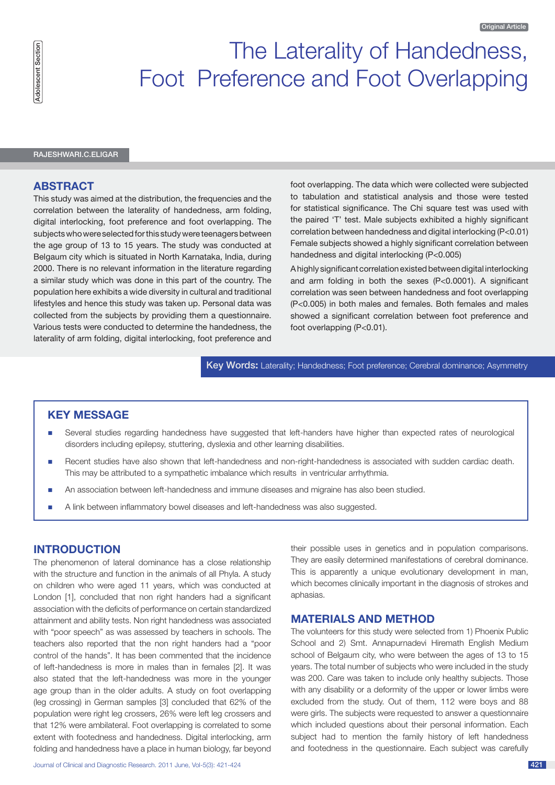# The Laterality of Handedness, Foot Preference and Foot Overlapping

Rajeshwari.C.Eligar

### **Abstract**

This study was aimed at the distribution, the frequencies and the correlation between the laterality of handedness, arm folding, digital interlocking, foot preference and foot overlapping. The subjects who were selected for this study were teenagers between the age group of 13 to 15 years. The study was conducted at Belgaum city which is situated in North Karnataka, India, during 2000. There is no relevant information in the literature regarding a similar study which was done in this part of the country. The population here exhibits a wide diversity in cultural and traditional lifestyles and hence this study was taken up. Personal data was collected from the subjects by providing them a questionnaire. Various tests were conducted to determine the handedness, the laterality of arm folding, digital interlocking, foot preference and

foot overlapping. The data which were collected were subjected to tabulation and statistical analysis and those were tested for statistical significance. The Chi square test was used with the paired 'T' test. Male subjects exhibited a highly significant correlation between handedness and digital interlocking (P<0.01) Female subjects showed a highly significant correlation between handedness and digital interlocking (P<0.005)

A highly significant correlation existed between digital interlocking and arm folding in both the sexes (P<0.0001). A significant correlation was seen between handedness and foot overlapping (P<0.005) in both males and females. Both females and males showed a significant correlation between foot preference and foot overlapping (P<0.01).

Key Words**:** Laterality; Handedness; Foot preference; Cerebral dominance; Asymmetry

# **KEY MESSAGE**

- n Several studies regarding handedness have suggested that left-handers have higher than expected rates of neurological disorders including epilepsy, stuttering, dyslexia and other learning disabilities.
- n Recent studies have also shown that left-handedness and non-right-handedness is associated with sudden cardiac death. This may be attributed to a sympathetic imbalance which results in ventricular arrhythmia.
- n An association between left-handedness and immune diseases and migraine has also been studied.
- n A link between inflammatory bowel diseases and left-handedness was also suggested.

## **Introduction**

The phenomenon of lateral dominance has a close relationship with the structure and function in the animals of all Phyla. A study on children who were aged 11 years, which was conducted at London [1], concluded that non right handers had a significant association with the deficits of performance on certain standardized attainment and ability tests. Non right handedness was associated with "poor speech" as was assessed by teachers in schools. The teachers also reported that the non right handers had a "poor control of the hands". It has been commented that the incidence of left-handedness is more in males than in females [2]. It was also stated that the left-handedness was more in the younger age group than in the older adults. A study on foot overlapping (leg crossing) in German samples [3] concluded that 62% of the population were right leg crossers, 26% were left leg crossers and that 12% were ambilateral. Foot overlapping is correlated to some extent with footedness and handedness. Digital interlocking, arm folding and handedness have a place in human biology, far beyond their possible uses in genetics and in population comparisons. They are easily determined manifestations of cerebral dominance. This is apparently a unique evolutionary development in man, which becomes clinically important in the diagnosis of strokes and aphasias.

## **MATERIALS AND METHOD**

The volunteers for this study were selected from 1) Phoenix Public School and 2) Smt. Annapurnadevi Hiremath English Medium school of Belgaum city, who were between the ages of 13 to 15 years. The total number of subjects who were included in the study was 200. Care was taken to include only healthy subjects. Those with any disability or a deformity of the upper or lower limbs were excluded from the study. Out of them, 112 were boys and 88 were girls. The subjects were requested to answer a questionnaire which included questions about their personal information. Each subject had to mention the family history of left handedness and footedness in the questionnaire. Each subject was carefully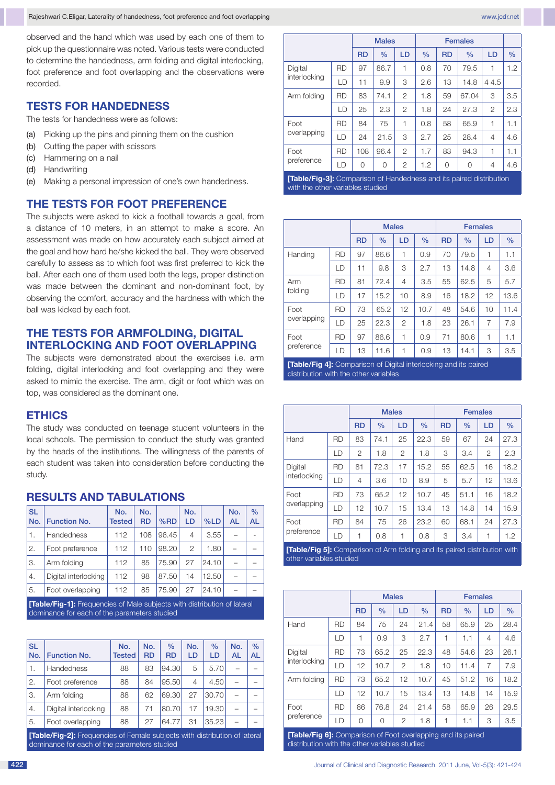observed and the hand which was used by each one of them to pick up the questionnaire was noted. Various tests were conducted to determine the handedness, arm folding and digital interlocking, foot preference and foot overlapping and the observations were recorded.

# **TESTS FOR HANDEDNESS**

The tests for handedness were as follows:

- (a) Picking up the pins and pinning them on the cushion
- (b) Cutting the paper with scissors
- (c) Hammering on a nail
- (d) Handwriting
- (e) Making a personal impression of one's own handedness.

### **THE TESTS FOR FOOT PREFERENCE**

The subjects were asked to kick a football towards a goal, from a distance of 10 meters, in an attempt to make a score. An assessment was made on how accurately each subject aimed at the goal and how hard he/she kicked the ball. They were observed carefully to assess as to which foot was first preferred to kick the ball. After each one of them used both the legs, proper distinction was made between the dominant and non-dominant foot, by observing the comfort, accuracy and the hardness with which the ball was kicked by each foot.

# **THE TESTS FOR ARMFOLDING, DIGITAL INTERLOCKING AND FOOT OVERLAPPING**

The subjects were demonstrated about the exercises i.e. arm folding, digital interlocking and foot overlapping and they were asked to mimic the exercise. The arm, digit or foot which was on top, was considered as the dominant one.

## **ETHICS**

The study was conducted on teenage student volunteers in the local schools. The permission to conduct the study was granted by the heads of the institutions. The willingness of the parents of each student was taken into consideration before conducting the study.

| <b>SL</b><br>No. | <b>Function No.</b>                                                             | No.<br><b>Tested</b> | No.<br><b>RD</b> | %RD   | No.<br>LD      | %LD   | No.<br><b>AL</b> | $\frac{0}{0}$<br><b>AL</b> |  |  |
|------------------|---------------------------------------------------------------------------------|----------------------|------------------|-------|----------------|-------|------------------|----------------------------|--|--|
| 1.               | Handedness                                                                      | 112                  | 108              | 96.45 | $\overline{4}$ | 3.55  |                  |                            |  |  |
| 2.               | Foot preference                                                                 | 112                  | 110              | 98.20 | 2              | 1.80  |                  |                            |  |  |
| 3.               | Arm folding                                                                     | 112                  | 85               | 75.90 | 27             | 24.10 |                  |                            |  |  |
| 4.               | Digital interlocking                                                            | 112                  | 98               | 87.50 | 14             | 12.50 |                  |                            |  |  |
| 5.               | Foot overlapping                                                                | 112                  | 85               | 75.90 | 27             | 24.10 |                  |                            |  |  |
|                  | <b>[Table/Fig-1]:</b> Frequencies of Male subjects with distribution of lateral |                      |                  |       |                |       |                  |                            |  |  |

#### **RESULTS AND TABULATIONS**

dominance for each of the parameters studi

| <b>SL</b><br>No. | <b>Function No.</b>                                                                                                              | No.<br><b>Tested</b> | No.<br><b>RD</b> | $\%$<br><b>RD</b> | No.<br>LD | $\%$<br>LD | No.<br><b>AL</b> | $\frac{0}{0}$<br><b>AL</b> |  |  |
|------------------|----------------------------------------------------------------------------------------------------------------------------------|----------------------|------------------|-------------------|-----------|------------|------------------|----------------------------|--|--|
| 1.               | <b>Handedness</b>                                                                                                                | 88                   | 83               | 94.30             | 5         | 5.70       |                  |                            |  |  |
| 2.               | Foot preference                                                                                                                  | 88                   | 84               | 95.50             | 4         | 4.50       |                  |                            |  |  |
| 3.               | Arm folding                                                                                                                      | 88                   | 62               | 69.30             | 27        | 30.70      |                  |                            |  |  |
| 4.               | Digital interlocking                                                                                                             | 88                   | 71               | 80.70             | 17        | 19.30      |                  |                            |  |  |
| 5.               | 64.77<br>31<br>Foot overlapping<br>88<br>35.23<br>27                                                                             |                      |                  |                   |           |            |                  |                            |  |  |
|                  | <b>Table/Fig-21:</b> Frequencies of Female subjects with distribution of lateral<br>dominance for each of the parameters studied |                      |                  |                   |           |            |                  |                            |  |  |

 Males Females RD | % | LD | % | RD | % | LD | % Digital interlocking RD | 97 | 86.7 | 1 | 0.8 | 70 | 79.5 | 1 | 1.2 LD | 11 | 9.9 | 3 | 2.6 | 13 | 14.8 | 44.5 Arm folding | RD | 83 | 74.1 | 2 | 1.8 | 59 | 67.04 | 3 | 3.5 LD | 25 | 2.3 | 2 | 1.8 | 24 | 27.3 | 2 | 2.3 Foot overlapping RD | 84 | 75 | 1 | 0.8 | 58 | 65.9 | 1 | 1.1 LD | 24 | 21.5 | 3 | 2.7 | 25 | 28.4 | 4 | 4.6 Foot preference RD | 108 | 96.4 | 2 | 1.7 | 83 | 94.3 | 1 | 1.1 LD | 0 | 0 | 2 | 1.2 | 0 | 0 | 4 | 4.6

**[Table/Fig-3]:** Comparison of Handedness and its paired distribution with the other variables studied

|                    |           |               | <b>Males</b> |                |           | <b>Females</b> |      |                |      |  |
|--------------------|-----------|---------------|--------------|----------------|-----------|----------------|------|----------------|------|--|
|                    | <b>RD</b> | $\frac{0}{0}$ | LD           | $\frac{0}{0}$  | <b>RD</b> | $\frac{0}{0}$  | LD   | $\%$           |      |  |
| Handing            | <b>RD</b> | 97            | 86.6         | 1              | 0.9       | 70             | 79.5 | 1              | 1.1  |  |
|                    | LD        | 11            | 9.8          | 3              | 2.7       | 13             | 14.8 | 4              | 3.6  |  |
| Arm                | <b>RD</b> | 81            | 72.4         | 4              | 3.5       | 55             | 62.5 | 5              | 5.7  |  |
| folding            | LD        | 17            | 15.2         | 10             | 8.9       | 16             | 18.2 | 12             | 13.6 |  |
| Foot               | <b>RD</b> | 73            | 65.2         | 12             | 10.7      | 48             | 54.6 | 10             | 11.4 |  |
| overlapping        | LD        | 25            | 22.3         | $\overline{2}$ | 1.8       | 23             | 26.1 | $\overline{7}$ | 7.9  |  |
| Foot<br>preference | <b>RD</b> | 97            | 86.6         | 1              | 0.9       | 71             | 80.6 | 1              | 1.1  |  |
|                    | LD        | 13            | 11.6         | 1              | 0.9       | 13             | 14.1 | 3              | 3.5  |  |

**[Table/Fig 4]:** Comparison of Digital interlocking and its paired distribution with the other variables

|                                                                                                                                                                                                                                                                                    | <b>Males</b> |           |               |    | <b>Females</b> |           |               |    |               |
|------------------------------------------------------------------------------------------------------------------------------------------------------------------------------------------------------------------------------------------------------------------------------------|--------------|-----------|---------------|----|----------------|-----------|---------------|----|---------------|
|                                                                                                                                                                                                                                                                                    |              | <b>RD</b> | $\frac{0}{0}$ | LD | $\frac{0}{0}$  | <b>RD</b> | $\frac{0}{0}$ | LD | $\frac{0}{0}$ |
| Hand                                                                                                                                                                                                                                                                               | <b>RD</b>    | 83        | 74.1          | 25 | 22.3           | 59        | 67            | 24 | 27.3          |
|                                                                                                                                                                                                                                                                                    | LD           | 2         | 1.8           | 2  | 1.8            | 3         | 3.4           | 2  | 2.3           |
| Digital                                                                                                                                                                                                                                                                            | <b>RD</b>    | 81        | 72.3          | 17 | 15.2           | 55        | 62.5          | 16 | 18.2          |
| interlocking                                                                                                                                                                                                                                                                       | LD           | 4         | 3.6           | 10 | 8.9            | 5         | 5.7           | 12 | 13.6          |
| Foot                                                                                                                                                                                                                                                                               | <b>RD</b>    | 73        | 65.2          | 12 | 10.7           | 45        | 51.1          | 16 | 18.2          |
| overlapping                                                                                                                                                                                                                                                                        | LD           | 12        | 10.7          | 15 | 13.4           | 13        | 14.8          | 14 | 15.9          |
| Foot<br>preference                                                                                                                                                                                                                                                                 | <b>RD</b>    | 84        | 75            | 26 | 23.2           | 60        | 68.1          | 24 | 27.3          |
|                                                                                                                                                                                                                                                                                    | LD           | 1         | 0.8           | 1  | 0.8            | 3         | 3.4           | 1  | 1.2           |
| .<br>$\sim$<br>$-1$ $\sim$ $-$<br>$\mathbf{r}$ . The contract of the contract of the contract of the contract of the contract of the contract of the contract of the contract of the contract of the contract of the contract of the contract of the contract of th<br><b>FALL</b> |              |           |               |    |                |           |               |    |               |

**Table/Fig 5]:** Compa other variables studied

|                                                                    |           |               | <b>Males</b> |               |           | <b>Females</b> |      |      |      |  |
|--------------------------------------------------------------------|-----------|---------------|--------------|---------------|-----------|----------------|------|------|------|--|
|                                                                    | <b>RD</b> | $\frac{0}{0}$ | LD           | $\frac{0}{0}$ | <b>RD</b> | $\frac{0}{0}$  | LD   | $\%$ |      |  |
| Hand                                                               | <b>RD</b> | 84            | 75           | 24            | 21.4      | 58             | 65.9 | 25   | 28.4 |  |
|                                                                    | LD        | 1             | 0.9          | 3             | 2.7       | 1              | 1.1  | 4    | 4.6  |  |
| Digital                                                            | <b>RD</b> | 73            | 65.2         | 25            | 22.3      | 48             | 54.6 | 23   | 26.1 |  |
| interlocking                                                       | LD        | 12            | 10.7         | 2             | 1.8       | 10             | 11.4 | 7    | 7.9  |  |
| Arm folding                                                        | <b>RD</b> | 73            | 65.2         | 12            | 10.7      | 45             | 51.2 | 16   | 18.2 |  |
|                                                                    | LD        | 12            | 10.7         | 15            | 13.4      | 13             | 14.8 | 14   | 15.9 |  |
| Foot<br>preference                                                 | <b>RD</b> | 86            | 76.8         | 24            | 21.4      | 58             | 65.9 | 26   | 29.5 |  |
|                                                                    | LD        | 0             | 0            | 2             | 1.8       | 1              | 1.1  | 3    | 3.5  |  |
| $TTabla/T^2$ $P^1$ , Comparison of East overloading and its noised |           |               |              |               |           |                |      |      |      |  |

**[Table/Fig 6]:** Comparison of Foot overlapping and its paired distribution with the other variables studied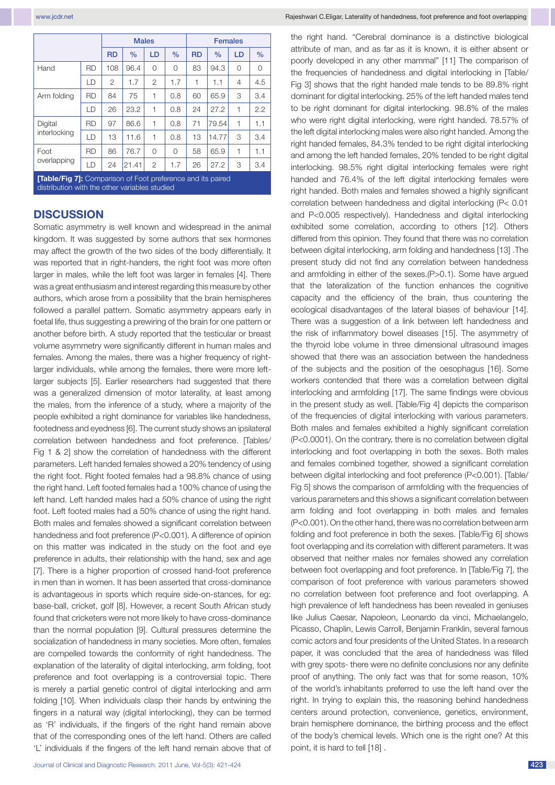|                         |           |                | <b>Males</b> |                |           | <b>Females</b> |       |               |     |  |
|-------------------------|-----------|----------------|--------------|----------------|-----------|----------------|-------|---------------|-----|--|
|                         | <b>RD</b> | $\frac{0}{0}$  | LD           | $\frac{0}{0}$  | <b>RD</b> | $\frac{0}{0}$  | LD    | $\frac{0}{0}$ |     |  |
| Hand                    | <b>RD</b> | 108            | 96.4         | $\Omega$       | 0         | 83             | 94.3  | $\Omega$      | 0   |  |
|                         | LD        | $\overline{2}$ | 1.7          | $\overline{2}$ | 1.7       | 1              | 1.1   | 4             | 4.5 |  |
| Arm folding             | <b>RD</b> | 84             | 75           | 1              | 0.8       | 60             | 65.9  | 3             | 3.4 |  |
|                         | LD        | 26             | 23.2         | 1              | 0.8       | 24             | 27.2  | 1             | 2.2 |  |
| Digital<br>interlocking | <b>RD</b> | 97             | 86.6         | 1              | 0.8       | 71             | 79.54 | 1             | 1.1 |  |
|                         | LD        | 13             | 11.6         | 1              | 0.8       | 13             | 14.77 | 3             | 3.4 |  |
| Foot<br>overlapping     | <b>RD</b> | 86             | 76.7         | $\Omega$       | $\Omega$  | 58             | 65.9  | 1             | 1.1 |  |
|                         | LD        | 24             | 21.41        | $\overline{2}$ | 1.7       | 26             | 27.2  | 3             | 3.4 |  |

**[Table/Fig 7]:** Comparison of Foot preference and its paired distribution with the other variables studied

## **DISCUSSION**

Somatic asymmetry is well known and widespread in the animal kingdom. It was suggested by some authors that sex hormones may affect the growth of the two sides of the body differentially. It was reported that in right-handers, the right foot was more often larger in males, while the left foot was larger in females [4]. There was a great enthusiasm and interest regarding this measure by other authors, which arose from a possibility that the brain hemispheres followed a parallel pattern. Somatic asymmetry appears early in foetal life, thus suggesting a prewiring of the brain for one pattern or another before birth. A study reported that the testicular or breast volume asymmetry were significantly different in human males and females. Among the males, there was a higher frequency of rightlarger individuals, while among the females, there were more leftlarger subjects [5]. Earlier researchers had suggested that there was a generalized dimension of motor laterality, at least among the males, from the inference of a study, where a majority of the people exhibited a right dominance for variables like handedness, footedness and eyedness [6]. The current study shows an ipsilateral correlation between handedness and foot preference. [Tables/ Fig 1 & 2] show the correlation of handedness with the different parameters. Left handed females showed a 20% tendency of using the right foot. Right footed females had a 98.8% chance of using the right hand. Left footed females had a 100% chance of using the left hand. Left handed males had a 50% chance of using the right foot. Left footed males had a 50% chance of using the right hand. Both males and females showed a significant correlation between handedness and foot preference (P<0.001). A difference of opinion on this matter was indicated in the study on the foot and eye preference in adults, their relationship with the hand, sex and age [7]. There is a higher proportion of crossed hand-foot preference in men than in women. It has been asserted that cross-dominance is advantageous in sports which require side-on-stances, for eg: base-ball, cricket, golf [8]. However, a recent South African study found that cricketers were not more likely to have cross-dominance than the normal population [9]. Cultural pressures determine the socialization of handedness in many societies. More often, females are compelled towards the conformity of right handedness. The explanation of the laterality of digital interlocking, arm folding, foot preference and foot overlapping is a controversial topic. There is merely a partial genetic control of digital interlocking and arm folding [10]. When individuals clasp their hands by entwining the fingers in a natural way (digital interlocking), they can be termed as 'R' individuals, if the fingers of the right hand remain above that of the corresponding ones of the left hand. Others are called 'L' individuals if the fingers of the left hand remain above that of the right hand. "Cerebral dominance is a distinctive biological attribute of man, and as far as it is known, it is either absent or poorly developed in any other mammal" [11] The comparison of the frequencies of handedness and digital interlocking in [Table/ Fig 3] shows that the right handed male tends to be 89.8% right dominant for digital interlocking. 25% of the left handed males tend to be right dominant for digital interlocking. 98.8% of the males who were right digital interlocking, were right handed. 78.57% of the left digital interlocking males were also right handed. Among the right handed females, 84.3% tended to be right digital interlocking and among the left handed females, 20% tended to be right digital interlocking. 98.5% right digital interlocking females were right handed and 76.4% of the left digital interlocking females were right handed. Both males and females showed a highly significant correlation between handedness and digital interlocking (P< 0.01 and P<0.005 respectively). Handedness and digital interlocking exhibited some correlation, according to others [12]. Others differed from this opinion. They found that there was no correlation between digital interlocking, arm folding and handedness [13] .The present study did not find any correlation between handedness and armfolding in either of the sexes.(P>0.1). Some have argued that the lateralization of the function enhances the cognitive capacity and the efficiency of the brain, thus countering the ecological disadvantages of the lateral biases of behaviour [14]. There was a suggestion of a link between left handedness and the risk of inflammatory bowel diseases [15]. The asymmetry of the thyroid lobe volume in three dimensional ultrasound images showed that there was an association between the handedness of the subjects and the position of the oesophagus [16]. Some workers contended that there was a correlation between digital interlocking and armfolding [17]. The same findings were obvious in the present study as well. [Table/Fig 4] depicts the comparison of the frequencies of digital interlocking with various parameters. Both males and females exhibited a highly significant correlation (P<0.0001). On the contrary, there is no correlation between digital interlocking and foot overlapping in both the sexes. Both males and females combined together, showed a significant correlation between digital interlocking and foot preference (P<0.001). [Table/ Fig 5] shows the comparison of armfolding with the frequencies of various parameters and this shows a significant correlation between arm folding and foot overlapping in both males and females (P<0.001). On the other hand, there was no correlation between arm folding and foot preference in both the sexes. [Table/Fig 6] shows foot overlapping and its correlation with different parameters. It was observed that neither males nor females showed any correlation between foot overlapping and foot preference. In [Table/Fig 7], the comparison of foot preference with various parameters showed no correlation between foot preference and foot overlapping. A high prevalence of left handedness has been revealed in geniuses like Julius Caesar, Napoleon, Leonardo da vinci, Michaelangelo, Picasso, Chaplin, Lewis Carroll, Benjamin Franklin, several famous comic actors and four presidents of the United States. In a research paper, it was concluded that the area of handedness was filled with grey spots- there were no definite conclusions nor any definite proof of anything. The only fact was that for some reason, 10% of the world's inhabitants preferred to use the left hand over the right. In trying to explain this, the reasoning behind handedness centers around protection, convenience, genetics, environment, brain hemisphere dominance, the birthing process and the effect of the body's chemical levels. Which one is the right one? At this point, it is hard to tell [18] .